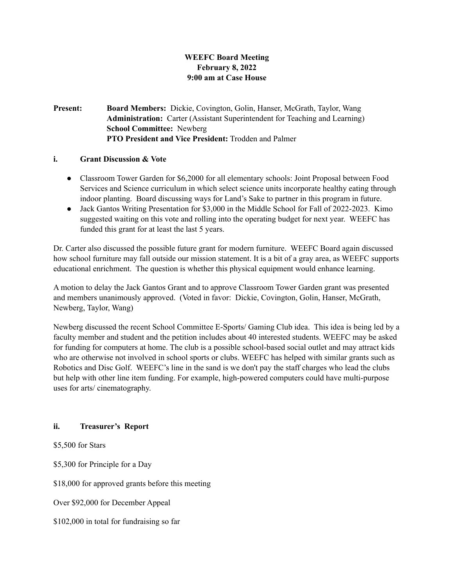# **WEEFC Board Meeting February 8, 2022 9:00 am at Case House**

## **Present: Board Members:** Dickie, Covington, Golin, Hanser, McGrath, Taylor, Wang **Administration:** Carter (Assistant Superintendent for Teaching and Learning) **School Committee:** Newberg **PTO President and Vice President:** Trodden and Palmer

#### **i. Grant Discussion & Vote**

- Classroom Tower Garden for \$6,2000 for all elementary schools: Joint Proposal between Food Services and Science curriculum in which select science units incorporate healthy eating through indoor planting. Board discussing ways for Land's Sake to partner in this program in future.
- Jack Gantos Writing Presentation for \$3,000 in the Middle School for Fall of 2022-2023. Kimo suggested waiting on this vote and rolling into the operating budget for next year. WEEFC has funded this grant for at least the last 5 years.

Dr. Carter also discussed the possible future grant for modern furniture. WEEFC Board again discussed how school furniture may fall outside our mission statement. It is a bit of a gray area, as WEEFC supports educational enrichment. The question is whether this physical equipment would enhance learning.

A motion to delay the Jack Gantos Grant and to approve Classroom Tower Garden grant was presented and members unanimously approved. (Voted in favor: Dickie, Covington, Golin, Hanser, McGrath, Newberg, Taylor, Wang)

Newberg discussed the recent School Committee E-Sports/ Gaming Club idea. This idea is being led by a faculty member and student and the petition includes about 40 interested students. WEEFC may be asked for funding for computers at home. The club is a possible school-based social outlet and may attract kids who are otherwise not involved in school sports or clubs. WEEFC has helped with similar grants such as Robotics and Disc Golf. WEEFC's line in the sand is we don't pay the staff charges who lead the clubs but help with other line item funding. For example, high-powered computers could have multi-purpose uses for arts/ cinematography.

## **ii. Treasurer's Report**

\$5,500 for Stars

\$5,300 for Principle for a Day

\$18,000 for approved grants before this meeting

Over \$92,000 for December Appeal

\$102,000 in total for fundraising so far